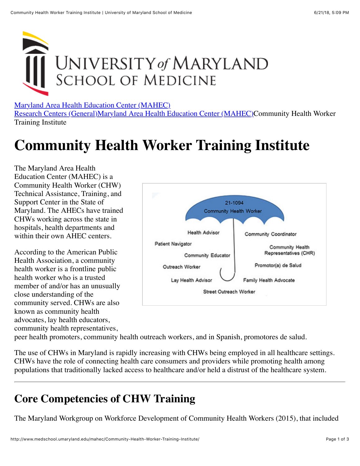

[Maryland Area Health Education Center \(MAHEC\)](http://medschool.umaryland.edu/mahec/)

[Research Centers \(General\)](http://medschool.umaryland.edu/Research-Centers-General/)[Maryland Area Health Education Center \(MAHEC\)](http://medschool.umaryland.edu/mahec/)Community Health Worker Training Institute

# **Community Health Worker Training Institute**

The Maryland Area Health Education Center (MAHEC) is a Community Health Worker (CHW) Technical Assistance, Training, and Support Center in the State of Maryland. The AHECs have trained CHWs working across the state in hospitals, health departments and within their own AHEC centers.

According to the American Public Health Association, a community health worker is a frontline public health worker who is a trusted member of and/or has an unusually close understanding of the community served. CHWs are also known as community health advocates, lay health educators, community health representatives,



peer health promoters, community health outreach workers, and in Spanish, promotores de salud.

The use of CHWs in Maryland is rapidly increasing with CHWs being employed in all healthcare settings. CHWs have the role of connecting health care consumers and providers while promoting health among populations that traditionally lacked access to healthcare and/or held a distrust of the healthcare system.

#### **Core Competencies of CHW Training**

The Maryland Workgroup on Workforce Development of Community Health Workers (2015), that included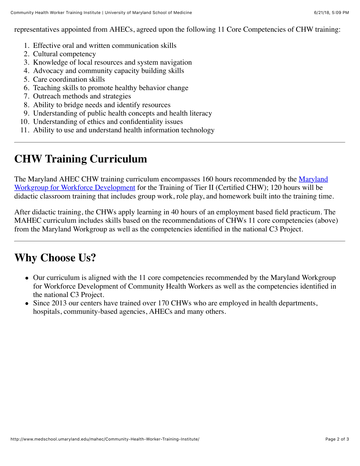representatives appointed from AHECs, agreed upon the following 11 Core Competencies of CHW training:

- 1. Effective oral and written communication skills
- 2. Cultural competency
- 3. Knowledge of local resources and system navigation
- 4. Advocacy and community capacity building skills
- 5. Care coordination skills
- 6. Teaching skills to promote healthy behavior change
- 7. Outreach methods and strategies
- 8. Ability to bridge needs and identify resources
- 9. Understanding of public health concepts and health literacy
- 10. Understanding of ethics and confidentiality issues
- 11. Ability to use and understand health information technology

## **CHW Training Curriculum**

[The Maryland AHEC CHW training curriculum encompasses 160 hours recommended by the Maryland](https://health.maryland.gov/mhhd/Pages/Community-Health-Worker.aspx) Workgroup for Workforce Development for the Training of Tier II (Certified CHW); 120 hours will be didactic classroom training that includes group work, role play, and homework built into the training time.

After didactic training, the CHWs apply learning in 40 hours of an employment based field practicum. The MAHEC curriculum includes skills based on the recommendations of CHWs 11 core competencies (above) from the Maryland Workgroup as well as the competencies identified in the national C3 Project.

### **Why Choose Us?**

- Our curriculum is aligned with the 11 core competencies recommended by the Maryland Workgroup for Workforce Development of Community Health Workers as well as the competencies identified in the national C3 Project.
- Since 2013 our centers have trained over 170 CHWs who are employed in health departments, hospitals, community-based agencies, AHECs and many others.